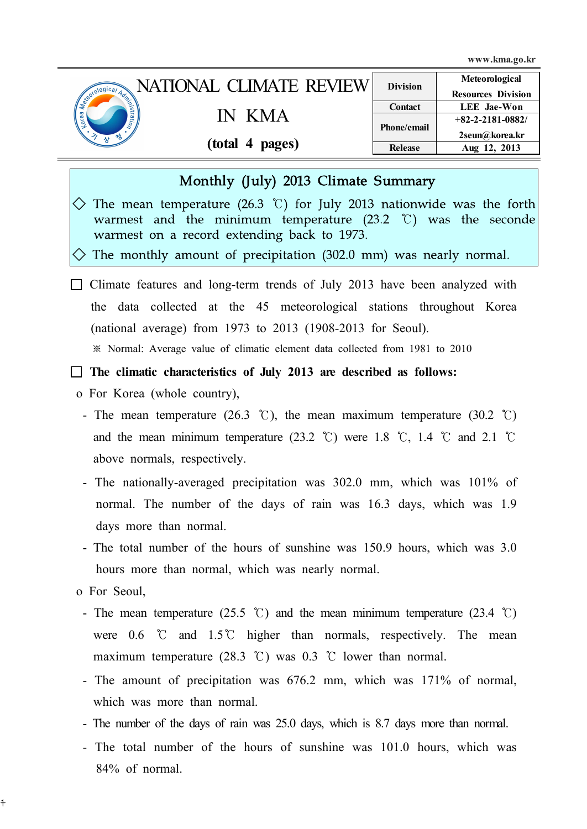www.kma.go.kr

|                     | NATIONAL CLIMATE REVIEW | <b>Division</b>    | Meteorological            |
|---------------------|-------------------------|--------------------|---------------------------|
| <b>Leonological</b> |                         |                    | <b>Resources Division</b> |
|                     |                         | Contact            | <b>LEE</b> Jae-Won        |
| heitio <sub>n</sub> | – K M A                 |                    | $+82-2-2181-0882/$        |
|                     |                         | <b>Phone/email</b> | 2seun@korea.kr            |
|                     | (total 4 pages)         | <b>Release</b>     | Aug 12, 2013              |

#### Monthly (July) 2013 Climate Summary

 $\Diamond$  The mean temperature (26.3 °C) for July 2013 nationwide was the forth warmest and the minimum temperature (23.2 ℃) was the seconde warmest on a record extending back to 1973.

 $\Diamond$  The monthly amount of precipitation (302.0 mm) was nearly normal.

 $\Box$  Climate features and long-term trends of July 2013 have been analyzed with the data collected at the 45 meteorological stations throughout Korea (national average) from 1973 to 2013 (1908-2013 for Seoul).

※ Normal: Average value of climatic element data collected from 1981 to 2010

 $\Box$  The climatic characteristics of July 2013 are described as follows:

- o For Korea (whole country),
	- The mean temperature (26.3 °C), the mean maximum temperature (30.2 °C) and the mean minimum temperature  $(23.2 \degree C)$  were 1.8 °C, 1.4 °C and 2.1 °C above normals, respectively.
	- The nationally-averaged precipitation was 302.0 mm, which was 101% of normal. The number of the days of rain was 16.3 days, which was 1.9 days more than normal.
	- The total number of the hours of sunshine was 150.9 hours, which was 3.0 hours more than normal, which was nearly normal.

o For Seoul,

 $\ddagger$ 

- The mean temperature (25.5 ℃) and the mean minimum temperature (23.4 ℃) were 0.6 ℃ and 1.5℃ higher than normals, respectively. The mean maximum temperature (28.3 °C) was 0.3 °C lower than normal.
- The amount of precipitation was 676.2 mm, which was 171% of normal, which was more than normal.
- The number of the days of rain was 25.0 days, which is 8.7 days more than normal.
- The total number of the hours of sunshine was 101.0 hours, which was 84% of normal.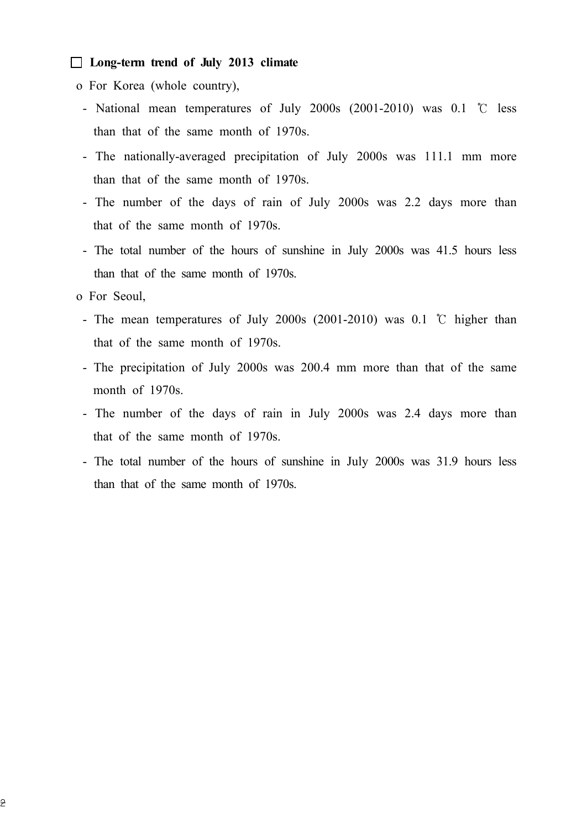#### $\Box$  Long-term trend of July 2013 climate

- o For Korea (whole country),
	- National mean temperatures of July 2000s (2001-2010) was 0.1 ℃ less than that of the same month of 1970s.
	- The nationally-averaged precipitation of July 2000s was 111.1 mm more than that of the same month of 1970s.
	- The number of the days of rain of July 2000s was 2.2 days more than that of the same month of 1970s.
	- The total number of the hours of sunshine in July 2000s was 41.5 hours less than that of the same month of 1970s.
- o For Seoul,
	- The mean temperatures of July 2000s (2001-2010) was 0.1 ℃ higher than that of the same month of 1970s.
	- The precipitation of July 2000s was 200.4 mm more than that of the same month of 1970s.
	- The number of the days of rain in July 2000s was 2.4 days more than that of the same month of 1970s.
	- The total number of the hours of sunshine in July 2000s was 31.9 hours less than that of the same month of 1970s.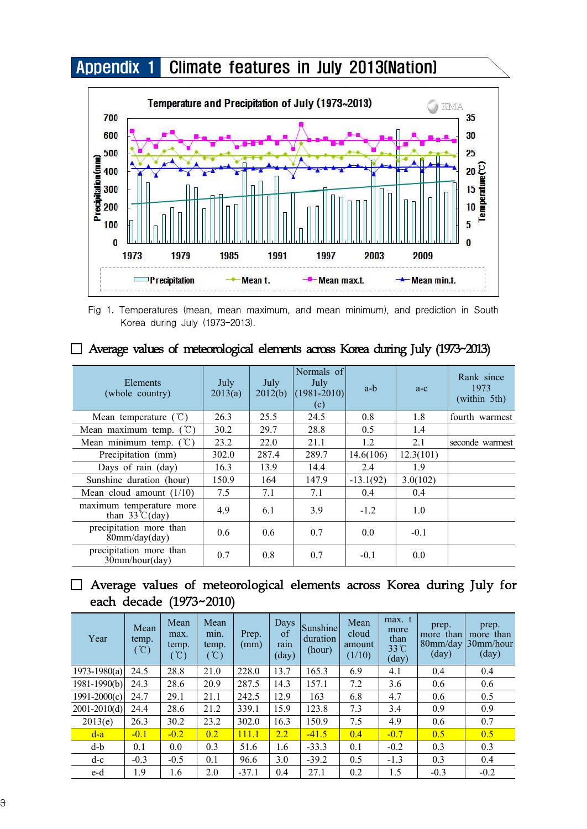## Appendix 1 Climate features in July 2013(Nation)



Fig 1. Temperatures (mean, mean maximum, and mean minimum), and prediction in South Korea during July (1973-2013).

| Elements<br>(whole country)                         | July<br>2013(a) | July<br>2012(b) | Normals of<br>July<br>$(1981 - 2010)$<br>(c) | a-b         | $a-c$     | Rank since<br>1973<br>(within 5th) |
|-----------------------------------------------------|-----------------|-----------------|----------------------------------------------|-------------|-----------|------------------------------------|
| Mean temperature $(\mathcal{C})$                    | 26.3            | 25.5            | 24.5                                         | 0.8         | 1.8       | fourth warmest                     |
| Mean maximum temp. $({\degree}C)$                   | 30.2            | 29.7            | 28.8                                         | 0.5         | 1.4       |                                    |
| Mean minimum temp. $(C)$                            | 23.2            | 22.0            | 21.1                                         | 1.2         | 2.1       | seconde warmest                    |
| Precipitation (mm)                                  | 302.0           | 287.4           | 289.7                                        | 14.6(106)   | 12.3(101) |                                    |
| Days of rain (day)                                  | 16.3            | 13.9            | 14.4                                         | 2.4         | 1.9       |                                    |
| Sunshine duration (hour)                            | 150.9           | 164             | 147.9                                        | $-13.1(92)$ | 3.0(102)  |                                    |
| Mean cloud amount $(1/10)$                          | 7.5             | 7.1             | 7.1                                          | 0.4         | 0.4       |                                    |
| maximum temperature more<br>than $33^{\circ}$ (day) | 4.9             | 6.1             | 3.9                                          | $-1.2$      | 1.0       |                                    |
| precipitation more than<br>80mm/day/day)            | 0.6             | 0.6             | 0.7                                          | 0.0         | $-0.1$    |                                    |
| precipitation more than<br>$30$ mm/hour(day)        | 0.7             | 0.8             | 0.7                                          | $-0.1$      | 0.0       |                                    |

### □ Average values of meteorological elements across Korea during July (1973~2013)

### □ Average values of meteorological elements across Korea during July for each decade (1973~2010)

| Year             | Mean<br>temp.<br>$^{\circ}$ C) | Mean<br>max.<br>temp.<br>$^{\circ}$ C) | Mean<br>min.<br>temp.<br>$(\degree\text{C})$ | Prep.<br>(mm) | Days<br>of<br>rain<br>$\text{(day)}$ | Sunshine<br>duration<br>(hour) | Mean<br>cloud<br>amount<br>(1/10) | max. t<br>more<br>than<br>33°C<br>(day) | prep.<br>more than<br>$80$ mm/day<br>(day) | prep.<br>more than<br>30mm/hour<br>$\text{(day)}$ |
|------------------|--------------------------------|----------------------------------------|----------------------------------------------|---------------|--------------------------------------|--------------------------------|-----------------------------------|-----------------------------------------|--------------------------------------------|---------------------------------------------------|
| $1973 - 1980(a)$ | 24.5                           | 28.8                                   | 21.0                                         | 228.0         | 13.7                                 | 165.3                          | 6.9                               | 4.1                                     | 0.4                                        | 0.4                                               |
| $1981 - 1990(b)$ | 24.3                           | 28.6                                   | 20.9                                         | 287.5         | 14.3                                 | 157.1                          | 7.2                               | 3.6                                     | 0.6                                        | 0.6                                               |
| $1991 - 2000(c)$ | 24.7                           | 29.1                                   | 21.1                                         | 242.5         | 12.9                                 | 163                            | 6.8                               | 4.7                                     | 0.6                                        | 0.5                                               |
| $2001 - 2010(d)$ | 24.4                           | 28.6                                   | 21.2                                         | 339.1         | 15.9                                 | 123.8                          | 7.3                               | 3.4                                     | 0.9                                        | 0.9                                               |
| 2013(e)          | 26.3                           | 30.2                                   | 23.2                                         | 302.0         | 16.3                                 | 150.9                          | 7.5                               | 4.9                                     | 0.6                                        | 0.7                                               |
| $d-a$            | $-0.1$                         | $-0.2$                                 | 0.2                                          | 111.1         | $2.2^{\circ}$                        | $-41.5$                        | 0.4                               | $-0.7$                                  | 0.5                                        | 0.5                                               |
| d-b              | 0.1                            | 0.0                                    | 0.3                                          | 51.6          | 1.6                                  | $-33.3$                        | 0.1                               | $-0.2$                                  | 0.3                                        | 0.3                                               |
| $d-c$            | $-0.3$                         | $-0.5$                                 | 0.1                                          | 96.6          | 3.0                                  | $-39.2$                        | 0.5                               | $-1.3$                                  | 0.3                                        | 0.4                                               |
| e-d              | 1.9                            | 1.6                                    | 2.0                                          | $-37.1$       | 0.4                                  | 27.1                           | 0.2                               | 1.5                                     | $-0.3$                                     | $-0.2$                                            |